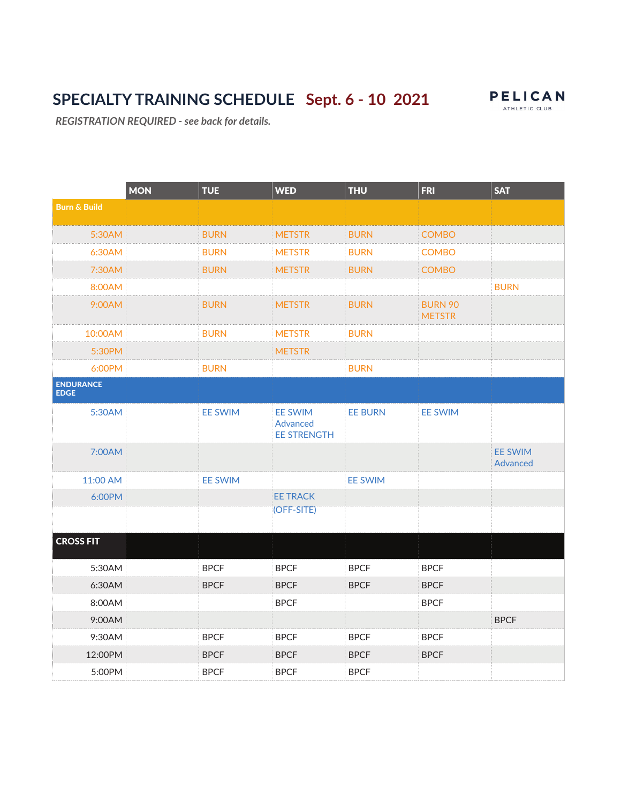# SPECIALTY TRAINING SCHEDULE Sept. 6 - 10 2021 PELICAN



REGISTRATION REQUIRED - see back for details.

|                          | <b>MON</b> | <b>TUE</b>     | <b>WED</b>                                       | <b>THU</b>     | <b>FRI</b>                      | <b>SAT</b>                 |
|--------------------------|------------|----------------|--------------------------------------------------|----------------|---------------------------------|----------------------------|
| <b>Burn &amp; Build</b>  |            |                |                                                  |                |                                 |                            |
| 5:30AM                   |            | <b>BURN</b>    | <b>METSTR</b>                                    | <b>BURN</b>    | <b>COMBO</b>                    |                            |
| 6:30AM                   |            | <b>BURN</b>    | <b>METSTR</b>                                    | <b>BURN</b>    | <b>COMBO</b>                    |                            |
| 7:30AM                   |            | <b>BURN</b>    | <b>METSTR</b>                                    | <b>BURN</b>    | <b>COMBO</b>                    |                            |
| 8:00AM                   |            |                |                                                  |                |                                 | <b>BURN</b>                |
| 9:00AM                   |            | <b>BURN</b>    | <b>METSTR</b>                                    | <b>BURN</b>    | <b>BURN 90</b><br><b>METSTR</b> |                            |
| 10:00AM                  |            | <b>BURN</b>    | <b>METSTR</b>                                    | <b>BURN</b>    |                                 |                            |
| 5:30PM                   |            |                | <b>METSTR</b>                                    |                |                                 |                            |
| 6:00PM                   |            | <b>BURN</b>    |                                                  | <b>BURN</b>    |                                 |                            |
| ENDURANCE<br><b>EDGE</b> |            |                |                                                  |                |                                 |                            |
| 5:30AM                   |            | <b>EE SWIM</b> | <b>EE SWIM</b><br>Advanced<br><b>EE STRENGTH</b> | <b>EE BURN</b> | <b>EE SWIM</b>                  |                            |
| 7:00AM                   |            |                |                                                  |                |                                 | <b>EE SWIM</b><br>Advanced |
| 11:00 AM                 |            | <b>EE SWIM</b> |                                                  | <b>EE SWIM</b> |                                 |                            |
| 6:00PM                   |            |                | <b>EE TRACK</b>                                  |                |                                 |                            |
|                          |            |                | (OFF-SITE)                                       |                |                                 |                            |
| <b>CROSS FIT</b>         |            |                |                                                  |                |                                 |                            |
| 5:30AM                   |            | <b>BPCF</b>    | <b>BPCF</b>                                      | <b>BPCF</b>    | <b>BPCF</b>                     |                            |
| 6:30AM                   |            | <b>BPCF</b>    | <b>BPCF</b>                                      | <b>BPCF</b>    | <b>BPCF</b>                     |                            |
| 8:00AM                   |            |                | <b>BPCF</b>                                      |                | <b>BPCF</b>                     |                            |
| 9:00AM                   |            |                |                                                  |                |                                 | <b>BPCF</b>                |
| 9:30AM                   |            | <b>BPCF</b>    | <b>BPCF</b>                                      | <b>BPCF</b>    | <b>BPCF</b>                     |                            |
| 12:00PM                  |            | <b>BPCF</b>    | <b>BPCF</b>                                      | <b>BPCF</b>    | <b>BPCF</b>                     |                            |
| 5:00PM                   |            | <b>BPCF</b>    | <b>BPCF</b>                                      | <b>BPCF</b>    |                                 |                            |